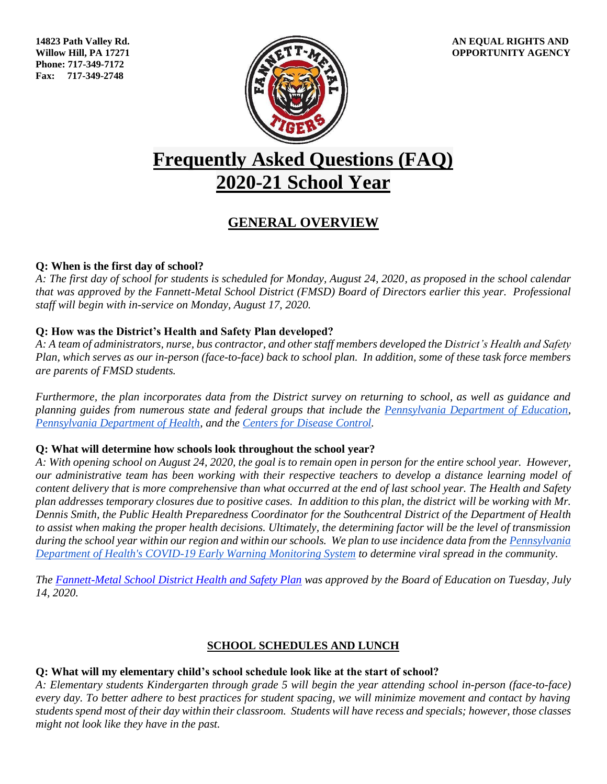**Phone: 717-349-7172 Fax: 717-349-2748**



# **Frequently Asked Questions (FAQ) 2020-21 School Year**

# **GENERAL OVERVIEW**

# **Q: When is the first day of school?**

*A: The first day of school for students is scheduled for Monday, August 24, 2020, as proposed in the school calendar that was approved by the Fannett-Metal School District (FMSD) Board of Directors earlier this year. Professional staff will begin with in-service on Monday, August 17, 2020.*

# **Q: How was the District's Health and Safety Plan developed?**

*A: A team of administrators, nurse, bus contractor, and other staff members developed the District's Health and Safety Plan, which serves as our in-person (face-to-face) back to school plan. In addition, some of these task force members are parents of FMSD students.*

*Furthermore, the plan incorporates data from the District survey on returning to school, as well as guidance and planning guides from numerous state and federal groups that include the [Pennsylvania Department of Education,](https://www.education.pa.gov/Pages/default.aspx) [Pennsylvania Department of Health,](https://www.health.pa.gov/Pages/default.aspx) and the [Centers for Disease Control.](https://www.cdc.gov/coronavirus/2019-ncov/community/schools-childcare/index.html)*

# **Q: What will determine how schools look throughout the school year?**

*A: With opening school on August 24, 2020, the goal is to remain open in person for the entire school year. However, our administrative team has been working with their respective teachers to develop a distance learning model of content delivery that is more comprehensive than what occurred at the end of last school year. The Health and Safety plan addresses temporary closures due to positive cases. In addition to this plan, the district will be working with Mr. Dennis Smith, the Public Health Preparedness Coordinator for the Southcentral District of the Department of Health to assist when making the proper health decisions. Ultimately, the determining factor will be the level of transmission during the school year within our region and within our schools. We plan to use incidence data from the [Pennsylvania](https://www.health.pa.gov/topics/disease/coronavirus/Pages/Monitoring-Dashboard.aspx)  [Department of Health's COVID-19 Early Warning Monitoring System](https://www.health.pa.gov/topics/disease/coronavirus/Pages/Monitoring-Dashboard.aspx) to determine viral spread in the community.* 

*The [Fannett-Metal School District Health and Safety Plan](https://fmtigers.org/wp-content/uploads/2020/07/FMSD-Phased-School-Reopening-Health-and-Safety-Plan-FINAL.pdf) was approved by the Board of Education on Tuesday, July 14, 2020.* 

# **SCHOOL SCHEDULES AND LUNCH**

# **Q: What will my elementary child's school schedule look like at the start of school?**

*A: Elementary students Kindergarten through grade 5 will begin the year attending school in-person (face-to-face) every day. To better adhere to best practices for student spacing, we will minimize movement and contact by having students spend most of their day within their classroom. Students will have recess and specials; however, those classes might not look like they have in the past.*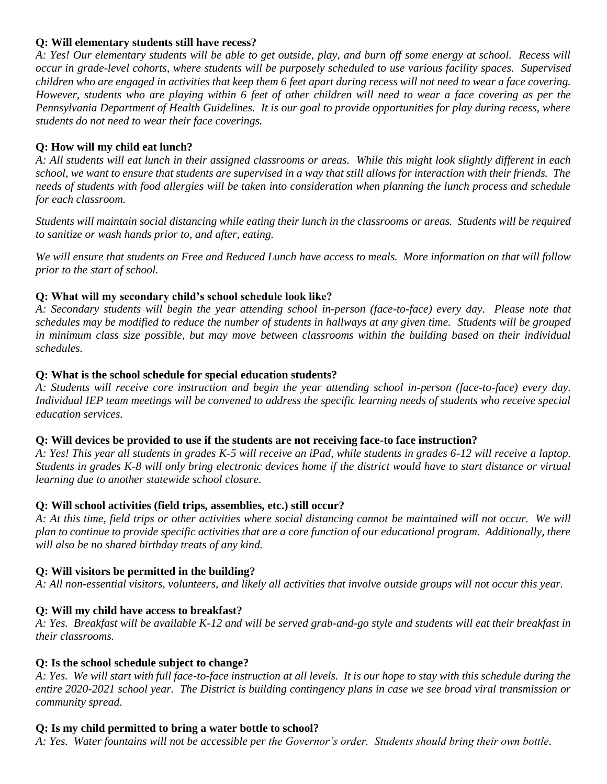#### **Q: Will elementary students still have recess?**

*A: Yes! Our elementary students will be able to get outside, play, and burn off some energy at school. Recess will occur in grade-level cohorts, where students will be purposely scheduled to use various facility spaces. Supervised children who are engaged in activities that keep them 6 feet apart during recess will not need to wear a face covering. However, students who are playing within 6 feet of other children will need to wear a face covering as per the Pennsylvania Department of Health Guidelines. It is our goal to provide opportunities for play during recess, where students do not need to wear their face coverings.*

# **Q: How will my child eat lunch?**

*A: All students will eat lunch in their assigned classrooms or areas. While this might look slightly different in each school, we want to ensure that students are supervised in a way that still allows for interaction with their friends. The needs of students with food allergies will be taken into consideration when planning the lunch process and schedule for each classroom.*

*Students will maintain social distancing while eating their lunch in the classrooms or areas. Students will be required to sanitize or wash hands prior to, and after, eating.*

*We will ensure that students on Free and Reduced Lunch have access to meals. More information on that will follow prior to the start of school.*

# **Q: What will my secondary child's school schedule look like?**

*A: Secondary students will begin the year attending school in-person (face-to-face) every day. Please note that schedules may be modified to reduce the number of students in hallways at any given time. Students will be grouped in minimum class size possible, but may move between classrooms within the building based on their individual schedules.*

# **Q: What is the school schedule for special education students?**

*A: Students will receive core instruction and begin the year attending school in-person (face-to-face) every day. Individual IEP team meetings will be convened to address the specific learning needs of students who receive special education services.* 

# **Q: Will devices be provided to use if the students are not receiving face-to face instruction?**

*A: Yes! This year all students in grades K-5 will receive an iPad, while students in grades 6-12 will receive a laptop. Students in grades K-8 will only bring electronic devices home if the district would have to start distance or virtual learning due to another statewide school closure.* 

# **Q: Will school activities (field trips, assemblies, etc.) still occur?**

*A: At this time, field trips or other activities where social distancing cannot be maintained will not occur. We will plan to continue to provide specific activities that are a core function of our educational program. Additionally, there will also be no shared birthday treats of any kind.*

# **Q: Will visitors be permitted in the building?**

*A: All non-essential visitors, volunteers, and likely all activities that involve outside groups will not occur this year.*

# **Q: Will my child have access to breakfast?**

*A: Yes. Breakfast will be available K-12 and will be served grab-and-go style and students will eat their breakfast in their classrooms.*

# **Q: Is the school schedule subject to change?**

*A: Yes. We will start with full face-to-face instruction at all levels. It is our hope to stay with this schedule during the entire 2020-2021 school year. The District is building contingency plans in case we see broad viral transmission or community spread.* 

#### **Q: Is my child permitted to bring a water bottle to school?**

*A: Yes. Water fountains will not be accessible per the Governor's order. Students should bring their own bottle.*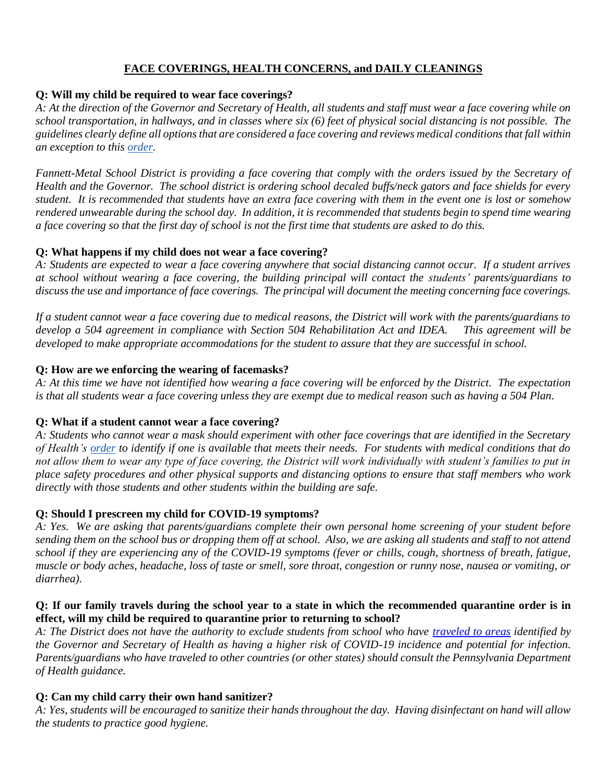# **FACE COVERINGS, HEALTH CONCERNS, and DAILY CLEANINGS**

# **Q: Will my child be required to wear face coverings?**

*A: At the direction of the Governor and Secretary of Health, all students and staff must wear a face covering while on school transportation, in hallways, and in classes where six (6) feet of physical social distancing is not possible. The guidelines clearly define all options that are considered a face covering and reviews medical conditions that fall within an exception to this [order.](https://www.governor.pa.gov/wp-content/uploads/2020/07/20200701-SOH-Universal-Face-Coverings-Order.pdf)*

*Fannett-Metal School District is providing a face covering that comply with the orders issued by the Secretary of Health and the Governor. The school district is ordering school decaled buffs/neck gators and face shields for every student. It is recommended that students have an extra face covering with them in the event one is lost or somehow rendered unwearable during the school day. In addition, it is recommended that students begin to spend time wearing a face covering so that the first day of school is not the first time that students are asked to do this.*

# **Q: What happens if my child does not wear a face covering?**

*A: Students are expected to wear a face covering anywhere that social distancing cannot occur. If a student arrives at school without wearing a face covering, the building principal will contact the students' parents/guardians to discuss the use and importance of face coverings. The principal will document the meeting concerning face coverings.*

*If a student cannot wear a face covering due to medical reasons, the District will work with the parents/guardians to develop a 504 agreement in compliance with Section 504 Rehabilitation Act and IDEA. This agreement will be developed to make appropriate accommodations for the student to assure that they are successful in school.*

# **Q: How are we enforcing the wearing of facemasks?**

*A: At this time we have not identified how wearing a face covering will be enforced by the District. The expectation is that all students wear a face covering unless they are exempt due to medical reason such as having a 504 Plan.*

# **Q: What if a student cannot wear a face covering?**

*A: Students who cannot wear a mask should experiment with other face coverings that are identified in the Secretary of Health's [order](https://www.governor.pa.gov/wp-content/uploads/2020/07/20200701-SOH-Universal-Face-Coverings-Order.pdf) to identify if one is available that meets their needs. For students with medical conditions that do not allow them to wear any type of face covering, the District will work individually with student's families to put in place safety procedures and other physical supports and distancing options to ensure that staff members who work directly with those students and other students within the building are safe.*

# **Q: Should I prescreen my child for COVID-19 symptoms?**

*A: Yes. We are asking that parents/guardians complete their own personal home screening of your student before sending them on the school bus or dropping them off at school. Also, we are asking all students and staff to not attend school if they are experiencing any of the COVID-19 symptoms (fever or chills, cough, shortness of breath, fatigue, muscle or body aches, headache, loss of taste or smell, sore throat, congestion or runny nose, nausea or vomiting, or diarrhea).* 

#### **Q: If our family travels during the school year to a state in which the recommended quarantine order is in effect, will my child be required to quarantine prior to returning to school?**

*A: The District does not have the authority to exclude students from school who have [traveled to areas](https://www.health.pa.gov/topics/disease/coronavirus/Pages/Travelers.aspx) identified by the Governor and Secretary of Health as having a higher risk of COVID-19 incidence and potential for infection. Parents/guardians who have traveled to other countries (or other states) should consult the Pennsylvania Department of Health guidance.* 

# **Q: Can my child carry their own hand sanitizer?**

*A: Yes, students will be encouraged to sanitize their hands throughout the day. Having disinfectant on hand will allow the students to practice good hygiene.*